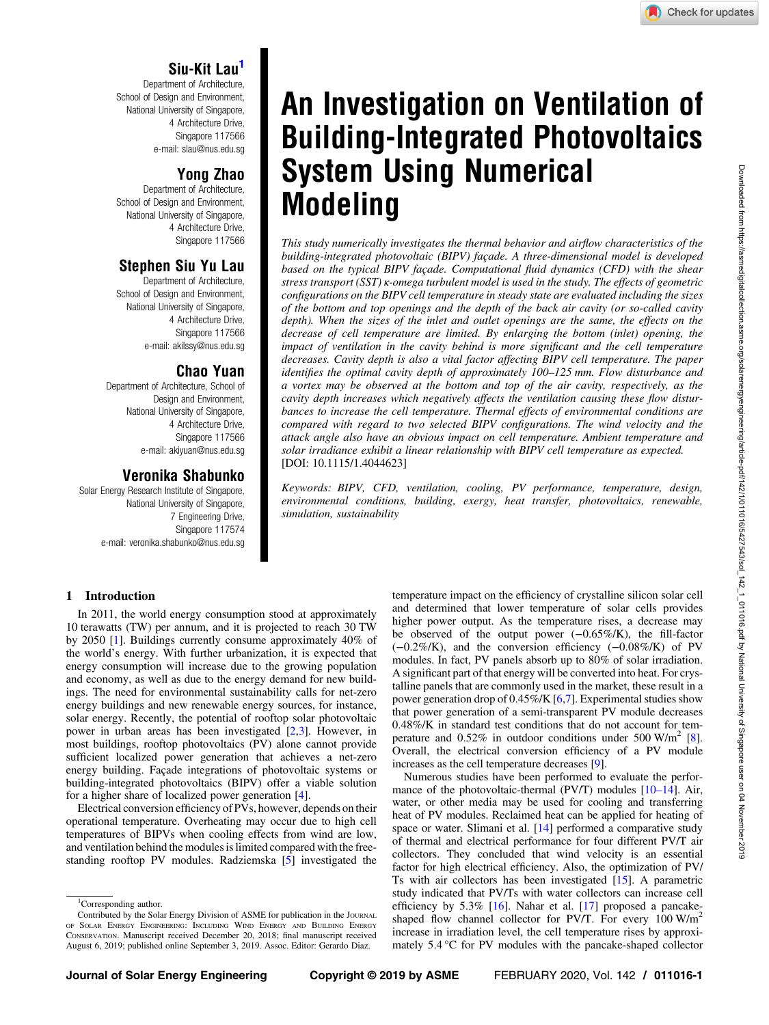# Siu-Kit Lau1

Department of Architecture, School of Design and Environment, National University of Singapore, 4 Architecture Drive, Singapore 117566 e-mail: [slau@nus.edu.sg](mailto:slau@nus.edu.sg)

## Yong Zhao

Department of Architecture, School of Design and Environment. National University of Singapore, 4 Architecture Drive, Singapore 117566

# Stephen Siu Yu Lau

Department of Architecture, School of Design and Environment, National University of Singapore, 4 Architecture Drive, Singapore 117566 e-mail: [akilssy@nus.edu.sg](mailto:akilssy@nus.edu.sg)

## Chao Yuan

Department of Architecture, School of Design and Environment, National University of Singapore, 4 Architecture Drive, Singapore 117566 e-mail: [akiyuan@nus.edu.sg](mailto:akiyuan@nus.edu.sg)

# Veronika Shabunko

Solar Energy Research Institute of Singapore, National University of Singapore, 7 Engineering Drive, Singapore 117574 e-mail: [veronika.shabunko@nus.edu.sg](mailto:veronika.shabunko@nus.edu.sg)

# An Investigation on Ventilation of Building-Integrated Photovoltaics System Using Numerical Modeling

This study numerically investigates the thermal behavior and airflow characteristics of the building-integrated photovoltaic (BIPV) façade. A three-dimensional model is developed based on the typical BIPV façade. Computational fluid dynamics (CFD) with the shear stress transport (SST) κ-omega turbulent model is used in the study. The effects of geometric configurations on the BIPV cell temperature in steady state are evaluated including the sizes of the bottom and top openings and the depth of the back air cavity (or so-called cavity depth). When the sizes of the inlet and outlet openings are the same, the effects on the decrease of cell temperature are limited. By enlarging the bottom (inlet) opening, the impact of ventilation in the cavity behind is more significant and the cell temperature decreases. Cavity depth is also a vital factor affecting BIPV cell temperature. The paper identifies the optimal cavity depth of approximately 100–125 mm. Flow disturbance and a vortex may be observed at the bottom and top of the air cavity, respectively, as the cavity depth increases which negatively affects the ventilation causing these flow disturbances to increase the cell temperature. Thermal effects of environmental conditions are compared with regard to two selected BIPV configurations. The wind velocity and the attack angle also have an obvious impact on cell temperature. Ambient temperature and solar irradiance exhibit a linear relationship with BIPV cell temperature as expected. [DOI: 10.1115/1.4044623]

Keywords: BIPV, CFD, ventilation, cooling, PV performance, temperature, design, environmental conditions, building, exergy, heat transfer, photovoltaics, renewable, simulation, sustainability

## 1 Introduction

In 2011, the world energy consumption stood at approximately 10 terawatts (TW) per annum, and it is projected to reach 30 TW by 2050 [[1](#page-7-0)]. Buildings currently consume approximately 40% of the world's energy. With further urbanization, it is expected that energy consumption will increase due to the growing population and economy, as well as due to the energy demand for new buildings. The need for environmental sustainability calls for net-zero energy buildings and new renewable energy sources, for instance, solar energy. Recently, the potential of rooftop solar photovoltaic power in urban areas has been investigated [\[2](#page-7-0),[3](#page-7-0)]. However, in most buildings, rooftop photovoltaics (PV) alone cannot provide sufficient localized power generation that achieves a net-zero energy building. Façade integrations of photovoltaic systems or building-integrated photovoltaics (BIPV) offer a viable solution for a higher share of localized power generation [[4\]](#page-7-0).

Electrical conversion efficiency of PVs, however, depends on their operational temperature. Overheating may occur due to high cell temperatures of BIPVs when cooling effects from wind are low, and ventilation behind the modules is limited compared with the freestanding rooftop PV modules. Radziemska [[5](#page-7-0)] investigated the

temperature impact on the efficiency of crystalline silicon solar cell and determined that lower temperature of solar cells provides higher power output. As the temperature rises, a decrease may be observed of the output power (−0.65%/K), the fill-factor (−0.2%/K), and the conversion efficiency (−0.08%/K) of PV modules. In fact, PV panels absorb up to 80% of solar irradiation. A significant part of that energy will be converted into heat. For crystalline panels that are commonly used in the market, these result in a power generation drop of 0.45%/K [\[6,](#page-7-0)[7](#page-8-0)]. Experimental studies show that power generation of a semi-transparent PV module decreases 0.48%/K in standard test conditions that do not account for temperature and  $0.52\%$  in outdoor conditions under 500 W/m<sup>2</sup> [\[8\]](#page-8-0). Overall, the electrical conversion efficiency of a PV module increases as the cell temperature decreases [\[9\]](#page-8-0).

Numerous studies have been performed to evaluate the performance of the photovoltaic-thermal (PV/T) modules  $[10-14]$ . Air, water, or other media may be used for cooling and transferring heat of PV modules. Reclaimed heat can be applied for heating of space or water. Slimani et al. [\[14](#page-8-0)] performed a comparative study of thermal and electrical performance for four different PV/T air collectors. They concluded that wind velocity is an essential factor for high electrical efficiency. Also, the optimization of PV/ Ts with air collectors has been investigated [\[15](#page-8-0)]. A parametric study indicated that PV/Ts with water collectors can increase cell efficiency by  $5.3\%$  [[16\]](#page-8-0). Nahar et al. [\[17](#page-8-0)] proposed a pancakeshaped flow channel collector for PV/T. For every  $100 \text{ W/m}^2$ increase in irradiation level, the cell temperature rises by approximately 5.4 °C for PV modules with the pancake-shaped collector

<sup>&</sup>lt;sup>1</sup>Corresponding author.

Contributed by the Solar Energy Division of ASME for publication in the JOURNAL OF SOLAR ENERGY ENGINEERING: INCLUDING WIND ENERGY AND BUILDING ENERGY CONSERVATION. Manuscript received December 20, 2018; final manuscript received August 6, 2019; published online September 3, 2019. Assoc. Editor: Gerardo Diaz.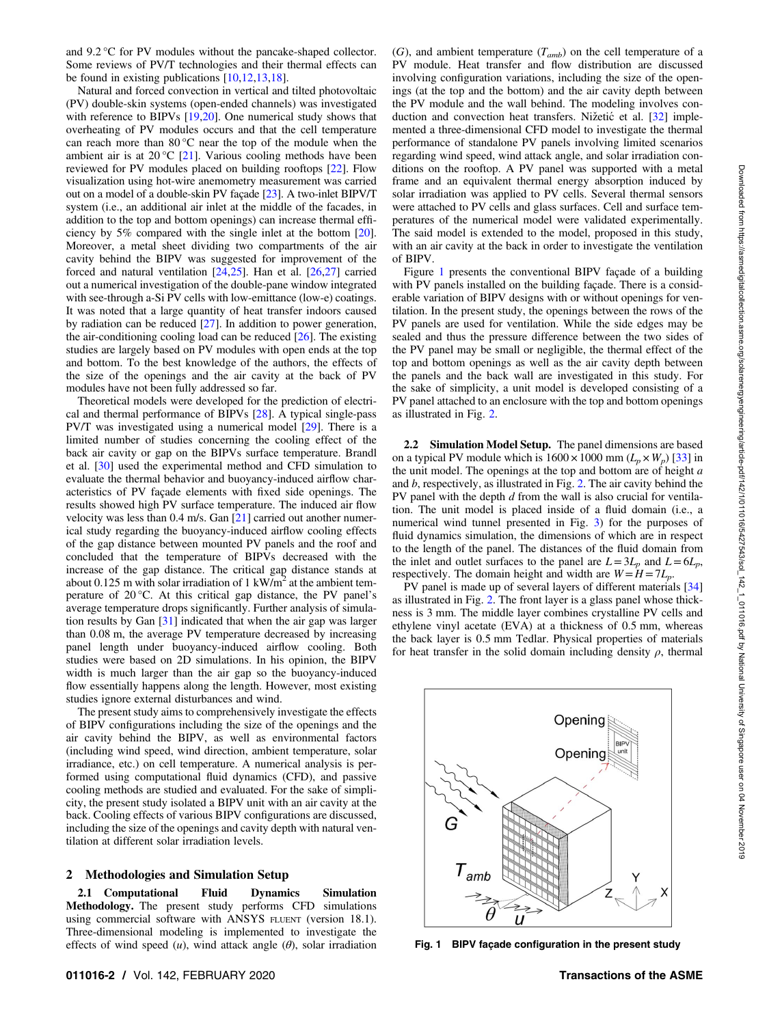and 9.2 °C for PV modules without the pancake-shaped collector. Some reviews of PV/T technologies and their thermal effects can be found in existing publications [\[10](#page-8-0),[12,13,18](#page-8-0)].

Natural and forced convection in vertical and tilted photovoltaic (PV) double-skin systems (open-ended channels) was investigated with reference to BIPVs [\[19,20](#page-8-0)]. One numerical study shows that overheating of PV modules occurs and that the cell temperature can reach more than 80 °C near the top of the module when the ambient air is at 20 °C [\[21](#page-8-0)]. Various cooling methods have been reviewed for PV modules placed on building rooftops [\[22](#page-8-0)]. Flow visualization using hot-wire anemometry measurement was carried out on a model of a double-skin PV façade [\[23](#page-8-0)]. A two-inlet BIPV/T system (i.e., an additional air inlet at the middle of the facades, in addition to the top and bottom openings) can increase thermal efficiency by 5% compared with the single inlet at the bottom [[20\]](#page-8-0). Moreover, a metal sheet dividing two compartments of the air cavity behind the BIPV was suggested for improvement of the forced and natural ventilation [[24,25](#page-8-0)]. Han et al. [[26,27\]](#page-8-0) carried out a numerical investigation of the double-pane window integrated with see-through a-Si PV cells with low-emittance (low-e) coatings. It was noted that a large quantity of heat transfer indoors caused by radiation can be reduced [\[27](#page-8-0)]. In addition to power generation, the air-conditioning cooling load can be reduced [\[26](#page-8-0)]. The existing studies are largely based on PV modules with open ends at the top and bottom. To the best knowledge of the authors, the effects of the size of the openings and the air cavity at the back of PV modules have not been fully addressed so far.

Theoretical models were developed for the prediction of electrical and thermal performance of BIPVs [[28\]](#page-8-0). A typical single-pass PV/T was investigated using a numerical model [[29\]](#page-8-0). There is a limited number of studies concerning the cooling effect of the back air cavity or gap on the BIPVs surface temperature. Brandl et al. [[30\]](#page-8-0) used the experimental method and CFD simulation to evaluate the thermal behavior and buoyancy-induced airflow characteristics of PV façade elements with fixed side openings. The results showed high PV surface temperature. The induced air flow velocity was less than 0.4 m/s. Gan [[21\]](#page-8-0) carried out another numerical study regarding the buoyancy-induced airflow cooling effects of the gap distance between mounted PV panels and the roof and concluded that the temperature of BIPVs decreased with the increase of the gap distance. The critical gap distance stands at about 0.125 m with solar irradiation of 1 kW/m<sup>2</sup> at the ambient temperature of 20 °C. At this critical gap distance, the PV panel's average temperature drops significantly. Further analysis of simulation results by Gan [\[31](#page-8-0)] indicated that when the air gap was larger than 0.08 m, the average PV temperature decreased by increasing panel length under buoyancy-induced airflow cooling. Both studies were based on 2D simulations. In his opinion, the BIPV width is much larger than the air gap so the buoyancy-induced flow essentially happens along the length. However, most existing studies ignore external disturbances and wind.

The present study aims to comprehensively investigate the effects of BIPV configurations including the size of the openings and the air cavity behind the BIPV, as well as environmental factors (including wind speed, wind direction, ambient temperature, solar irradiance, etc.) on cell temperature. A numerical analysis is performed using computational fluid dynamics (CFD), and passive cooling methods are studied and evaluated. For the sake of simplicity, the present study isolated a BIPV unit with an air cavity at the back. Cooling effects of various BIPV configurations are discussed, including the size of the openings and cavity depth with natural ventilation at different solar irradiation levels.

## 2 Methodologies and Simulation Setup

2.1 Computational Fluid Dynamics Simulation Methodology. The present study performs CFD simulations using commercial software with ANSYS FLUENT (version 18.1). Three-dimensional modeling is implemented to investigate the effects of wind speed  $(u)$ , wind attack angle  $(\theta)$ , solar irradiation  $(G)$ , and ambient temperature  $(T_{amb})$  on the cell temperature of a PV module. Heat transfer and flow distribution are discussed involving configuration variations, including the size of the openings (at the top and the bottom) and the air cavity depth between the PV module and the wall behind. The modeling involves con-duction and convection heat transfers. Nižetić et al. [\[32](#page-8-0)] implemented a three-dimensional CFD model to investigate the thermal performance of standalone PV panels involving limited scenarios regarding wind speed, wind attack angle, and solar irradiation conditions on the rooftop. A PV panel was supported with a metal frame and an equivalent thermal energy absorption induced by solar irradiation was applied to PV cells. Several thermal sensors were attached to PV cells and glass surfaces. Cell and surface temperatures of the numerical model were validated experimentally. The said model is extended to the model, proposed in this study, with an air cavity at the back in order to investigate the ventilation of BIPV.

Figure 1 presents the conventional BIPV façade of a building with PV panels installed on the building façade. There is a considerable variation of BIPV designs with or without openings for ventilation. In the present study, the openings between the rows of the PV panels are used for ventilation. While the side edges may be sealed and thus the pressure difference between the two sides of the PV panel may be small or negligible, the thermal effect of the top and bottom openings as well as the air cavity depth between the panels and the back wall are investigated in this study. For the sake of simplicity, a unit model is developed consisting of a PV panel attached to an enclosure with the top and bottom openings as illustrated in Fig. [2](#page-2-0).

2.2 Simulation Model Setup. The panel dimensions are based on a typical PV module which is  $1600 \times 1000$  mm  $(L_p \times W_p)$  [[33\]](#page-8-0) in the unit model. The openings at the top and bottom are of height  $a$ and  $b$ , respectively, as illustrated in Fig. [2](#page-2-0). The air cavity behind the PV panel with the depth  $d$  from the wall is also crucial for ventilation. The unit model is placed inside of a fluid domain (i.e., a numerical wind tunnel presented in Fig. [3](#page-2-0)) for the purposes of fluid dynamics simulation, the dimensions of which are in respect to the length of the panel. The distances of the fluid domain from the inlet and outlet surfaces to the panel are  $L=3L_p$  and  $L=6L_p$ , respectively. The domain height and width are  $W = H = 7L_p$ .

PV panel is made up of several layers of different materials [\[34](#page-8-0)] as illustrated in Fig. [2.](#page-2-0) The front layer is a glass panel whose thickness is 3 mm. The middle layer combines crystalline PV cells and ethylene vinyl acetate (EVA) at a thickness of 0.5 mm, whereas the back layer is 0.5 mm Tedlar. Physical properties of materials for heat transfer in the solid domain including density  $\rho$ , thermal



Fig. 1 BIPV facade configuration in the present study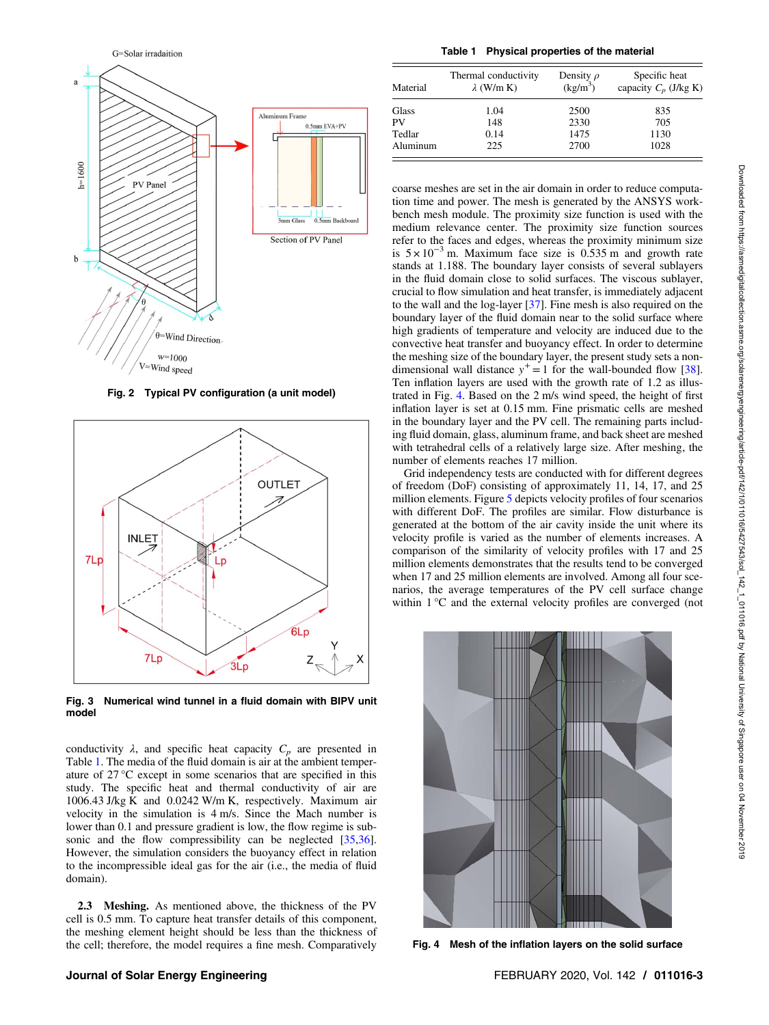<span id="page-2-0"></span>

Fig. 2 Typical PV configuration (a unit model)



Fig. 3 Numerical wind tunnel in a fluid domain with BIPV unit model

conductivity  $\lambda$ , and specific heat capacity  $C_p$  are presented in Table 1. The media of the fluid domain is air at the ambient temperature of 27 °C except in some scenarios that are specified in this study. The specific heat and thermal conductivity of air are 1006.43 J/kg K and 0.0242 W/m K, respectively. Maximum air velocity in the simulation is 4 m/s. Since the Mach number is lower than 0.1 and pressure gradient is low, the flow regime is sub-sonic and the flow compressibility can be neglected [[35,36\]](#page-8-0). However, the simulation considers the buoyancy effect in relation to the incompressible ideal gas for the air (i.e., the media of fluid domain).

2.3 Meshing. As mentioned above, the thickness of the PV cell is 0.5 mm. To capture heat transfer details of this component, the meshing element height should be less than the thickness of the cell; therefore, the model requires a fine mesh. Comparatively

Table 1 Physical properties of the material

| Material | Thermal conductivity<br>$\lambda$ (W/m K) | Density $\rho$<br>$(kg/m^3)$ | Specific heat<br>capacity $C_n$ (J/kg K) |
|----------|-------------------------------------------|------------------------------|------------------------------------------|
| Glass    | 1.04                                      | 2500                         | 835                                      |
| PV       | 148                                       | 2330                         | 705                                      |
| Tedlar   | 0.14                                      | 1475                         | 1130                                     |
| Aluminum | 225                                       | 2700                         | 1028                                     |

coarse meshes are set in the air domain in order to reduce computation time and power. The mesh is generated by the ANSYS workbench mesh module. The proximity size function is used with the medium relevance center. The proximity size function sources refer to the faces and edges, whereas the proximity minimum size is  $5 \times 10^{-3}$  m. Maximum face size is 0.535 m and growth rate stands at 1.188. The boundary layer consists of several sublayers in the fluid domain close to solid surfaces. The viscous sublayer, crucial to flow simulation and heat transfer, is immediately adjacent to the wall and the log-layer [[37](#page-8-0)]. Fine mesh is also required on the boundary layer of the fluid domain near to the solid surface where high gradients of temperature and velocity are induced due to the convective heat transfer and buoyancy effect. In order to determine the meshing size of the boundary layer, the present study sets a nondimensional wall distance  $y^+=1$  for the wall-bounded flow [[38\]](#page-8-0). Ten inflation layers are used with the growth rate of 1.2 as illustrated in Fig. 4. Based on the 2 m/s wind speed, the height of first inflation layer is set at 0.15 mm. Fine prismatic cells are meshed in the boundary layer and the PV cell. The remaining parts including fluid domain, glass, aluminum frame, and back sheet are meshed with tetrahedral cells of a relatively large size. After meshing, the number of elements reaches 17 million.

Grid independency tests are conducted with for different degrees of freedom (DoF) consisting of approximately 11, 14, 17, and 25 million elements. Figure [5](#page-3-0) depicts velocity profiles of four scenarios with different DoF. The profiles are similar. Flow disturbance is generated at the bottom of the air cavity inside the unit where its velocity profile is varied as the number of elements increases. A comparison of the similarity of velocity profiles with 17 and 25 million elements demonstrates that the results tend to be converged when 17 and 25 million elements are involved. Among all four scenarios, the average temperatures of the PV cell surface change within 1 °C and the external velocity profiles are converged (not



Fig. 4 Mesh of the inflation layers on the solid surface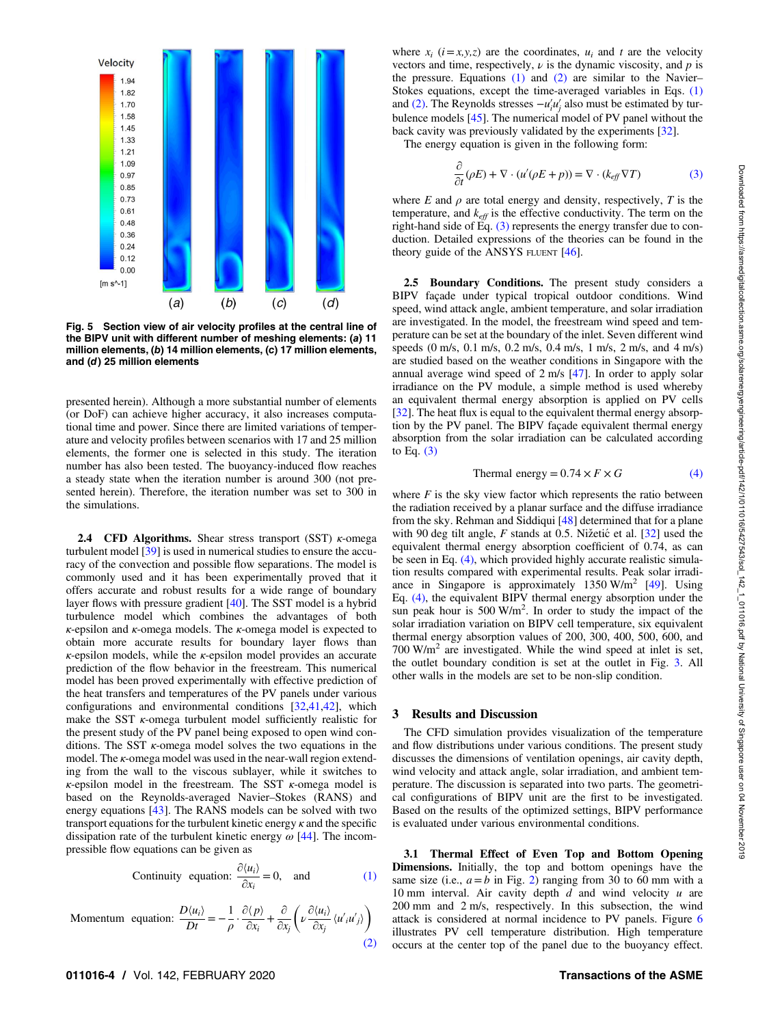<span id="page-3-0"></span>

Fig. 5 Section view of air velocity profiles at the central line of the BIPV unit with different number of meshing elements: (a) 11 million elements, (b) 14 million elements, (c) 17 million elements, and (d) 25 million elements

presented herein). Although a more substantial number of elements (or DoF) can achieve higher accuracy, it also increases computational time and power. Since there are limited variations of temperature and velocity profiles between scenarios with 17 and 25 million elements, the former one is selected in this study. The iteration number has also been tested. The buoyancy-induced flow reaches a steady state when the iteration number is around 300 (not presented herein). Therefore, the iteration number was set to 300 in the simulations.

**2.4 CFD Algorithms.** Shear stress transport (SST)  $\kappa$ -omega turbulent model [\[39](#page-8-0)] is used in numerical studies to ensure the accuracy of the convection and possible flow separations. The model is commonly used and it has been experimentally proved that it offers accurate and robust results for a wide range of boundary layer flows with pressure gradient [[40\]](#page-8-0). The SST model is a hybrid turbulence model which combines the advantages of both  $\kappa$ -epsilon and  $\kappa$ -omega models. The  $\kappa$ -omega model is expected to obtain more accurate results for boundary layer flows than  $\kappa$ -epsilon models, while the  $\kappa$ -epsilon model provides an accurate prediction of the flow behavior in the freestream. This numerical model has been proved experimentally with effective prediction of the heat transfers and temperatures of the PV panels under various configurations and environmental conditions [\[32](#page-8-0),[41,42\]](#page-8-0), which make the SST  $\kappa$ -omega turbulent model sufficiently realistic for the present study of the PV panel being exposed to open wind conditions. The SST  $\kappa$ -omega model solves the two equations in the model. The κ-omega model was used in the near-wall region extending from the wall to the viscous sublayer, while it switches to  $\kappa$ -epsilon model in the freestream. The SST  $\kappa$ -omega model is based on the Reynolds-averaged Navier–Stokes (RANS) and energy equations [[43\]](#page-8-0). The RANS models can be solved with two transport equations for the turbulent kinetic energy  $\kappa$  and the specific dissipation rate of the turbulent kinetic energy  $\omega$  [\[44](#page-8-0)]. The incompressible flow equations can be given as

Continuity equation: 
$$
\frac{\partial \langle u_i \rangle}{\partial x_i} = 0
$$
, and (1)

Momentum equation:  $\frac{D\langle u_i \rangle}{Dt} = -\frac{1}{\rho}$ .  $\partial \langle p \rangle$  $\frac{\partial \langle p \rangle}{\partial x_i} + \frac{\partial}{\partial x_i}$  $\frac{\partial}{\partial x_j} \left( \nu \frac{\partial \langle u_i \rangle}{\partial x_j} \right)$  $\frac{\partial u_i}{\partial x_j} \langle u'_{i} u'_{j} \rangle$  $\left(\begin{array}{c}\partial\langle u_i\rangle\end{array},\right)$ (2)

011016-4 / Vol. 142, FEBRUARY 2020 **Transactions of the ASME** 

where  $x_i$  ( $i = x, y, z$ ) are the coordinates,  $u_i$  and t are the velocity vectors and time, respectively,  $\nu$  is the dynamic viscosity, and  $p$  is the pressure. Equations  $(1)$  and  $(2)$  are similar to the Navier– Stokes equations, except the time-averaged variables in Eqs. (1) and (2). The Reynolds stresses  $-u'_i u'_j$  also must be estimated by turbulence models [[45\]](#page-8-0). The numerical model of PV panel without the back cavity was previously validated by the experiments [[32\]](#page-8-0).

The energy equation is given in the following form:

$$
\frac{\partial}{\partial t}(\rho E) + \nabla \cdot (u'(\rho E + p)) = \nabla \cdot (k_{\text{eff}} \nabla T) \tag{3}
$$

where E and  $\rho$  are total energy and density, respectively, T is the temperature, and  $k_{\text{eff}}$  is the effective conductivity. The term on the right-hand side of Eq.  $(3)$  represents the energy transfer due to conduction. Detailed expressions of the theories can be found in the theory guide of the ANSYS FLUENT [\[46](#page-8-0)].

2.5 Boundary Conditions. The present study considers a BIPV façade under typical tropical outdoor conditions. Wind speed, wind attack angle, ambient temperature, and solar irradiation are investigated. In the model, the freestream wind speed and temperature can be set at the boundary of the inlet. Seven different wind speeds (0 m/s, 0.1 m/s, 0.2 m/s, 0.4 m/s, 1 m/s, 2 m/s, and 4 m/s) are studied based on the weather conditions in Singapore with the annual average wind speed of 2 m/s [\[47](#page-8-0)]. In order to apply solar irradiance on the PV module, a simple method is used whereby an equivalent thermal energy absorption is applied on PV cells [[32\]](#page-8-0). The heat flux is equal to the equivalent thermal energy absorption by the PV panel. The BIPV façade equivalent thermal energy absorption from the solar irradiation can be calculated according to Eq.  $(3)$ 

$$
Thermal energy = 0.74 \times F \times G \tag{4}
$$

where  $F$  is the sky view factor which represents the ratio between the radiation received by a planar surface and the diffuse irradiance from the sky. Rehman and Siddiqui [[48](#page-8-0)] determined that for a plane with 90 deg tilt angle,  $F$  stands at 0.5. Nižetić et al.  $[32]$  $[32]$  used the equivalent thermal energy absorption coefficient of 0.74, as can be seen in Eq. (4), which provided highly accurate realistic simulation results compared with experimental results. Peak solar irradiance in Singapore is approximately  $1350 \text{ W/m}^2$  [\[49](#page-8-0)]. Using Eq. (4), the equivalent BIPV thermal energy absorption under the sun peak hour is  $500 \text{ W/m}^2$ . In order to study the impact of the solar irradiation variation on BIPV cell temperature, six equivalent thermal energy absorption values of 200, 300, 400, 500, 600, and  $700 \text{ W/m}^2$  are investigated. While the wind speed at inlet is set, the outlet boundary condition is set at the outlet in Fig. [3](#page-2-0). All other walls in the models are set to be non-slip condition.

## 3 Results and Discussion

The CFD simulation provides visualization of the temperature and flow distributions under various conditions. The present study discusses the dimensions of ventilation openings, air cavity depth, wind velocity and attack angle, solar irradiation, and ambient temperature. The discussion is separated into two parts. The geometrical configurations of BIPV unit are the first to be investigated. Based on the results of the optimized settings, BIPV performance is evaluated under various environmental conditions.

3.1 Thermal Effect of Even Top and Bottom Opening Dimensions. Initially, the top and bottom openings have the same size (i.e.,  $a = b$  in Fig. [2](#page-2-0)) ranging from 30 to 60 mm with a 10 mm interval. Air cavity depth  $d$  and wind velocity  $u$  are 200 mm and 2 m/s, respectively. In this subsection, the wind attack is considered at normal incidence to PV panels. Figure [6](#page-4-0) illustrates PV cell temperature distribution. High temperature occurs at the center top of the panel due to the buoyancy effect.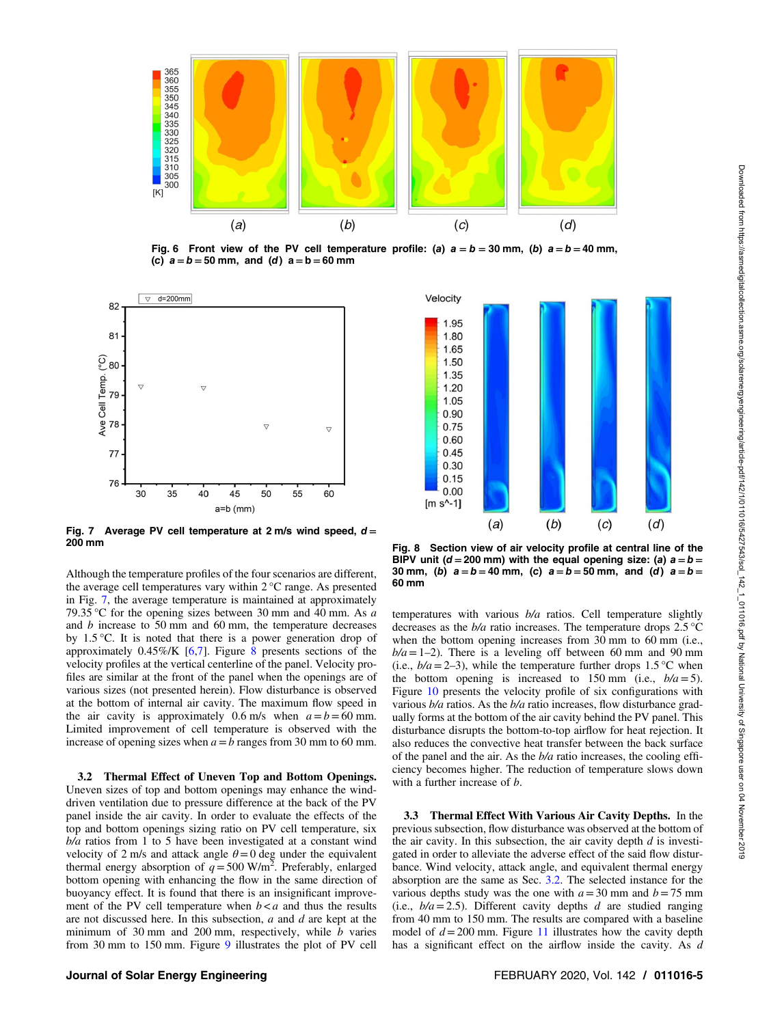<span id="page-4-0"></span>

Fig. 6 Front view of the PV cell temperature profile: (a)  $a = b = 30$  mm, (b)  $a = b = 40$  mm, (c)  $a = b = 50$  mm, and (d)  $a = b = 60$  mm



Fig. 7 Average PV cell temperature at 2 m/s wind speed,  $d = 200$  mm

Although the temperature profiles of the four scenarios are different, the average cell temperatures vary within 2 °C range. As presented in Fig. 7, the average temperature is maintained at approximately 79.35 °C for the opening sizes between 30 mm and 40 mm. As  $a$ and b increase to 50 mm and 60 mm, the temperature decreases by 1.5 °C. It is noted that there is a power generation drop of approximately  $0.45\%$ /K [[6](#page-7-0)[,7\]](#page-8-0). Figure 8 presents sections of the velocity profiles at the vertical centerline of the panel. Velocity profiles are similar at the front of the panel when the openings are of various sizes (not presented herein). Flow disturbance is observed at the bottom of internal air cavity. The maximum flow speed in the air cavity is approximately 0.6 m/s when  $a = b = 60$  mm. Limited improvement of cell temperature is observed with the increase of opening sizes when  $a = b$  ranges from 30 mm to 60 mm.

3.2 Thermal Effect of Uneven Top and Bottom Openings. Uneven sizes of top and bottom openings may enhance the winddriven ventilation due to pressure difference at the back of the PV panel inside the air cavity. In order to evaluate the effects of the top and bottom openings sizing ratio on PV cell temperature, six  $b/a$  ratios from 1 to 5 have been investigated at a constant wind velocity of 2 m/s and attack angle  $\theta = 0$  deg under the equivalent thermal energy absorption of  $q = 500$  W/m<sup>2</sup>. Preferably, enlarged bottom opening with enhancing the flow in the same direction of buoyancy effect. It is found that there is an insignificant improvement of the PV cell temperature when  $b < a$  and thus the results are not discussed here. In this subsection,  $a$  and  $d$  are kept at the minimum of 30 mm and 200 mm, respectively, while  $b$  varies from 30 mm to 150 mm. Figure [9](#page-5-0) illustrates the plot of PV cell



Fig. 8 Section view of air velocity profile at central line of the BIPV unit ( $d = 200$  mm) with the equal opening size: (a)  $a = b =$ 30 mm, (b)  $a = b = 40$  mm, (c)  $a = b = 50$  mm, and (d)  $a = b =$ 60 mm

temperatures with various  $b/a$  ratios. Cell temperature slightly decreases as the  $b/a$  ratio increases. The temperature drops 2.5 °C when the bottom opening increases from 30 mm to 60 mm (i.e.,  $b/a = 1-2$ ). There is a leveling off between 60 mm and 90 mm (i.e.,  $b/a = 2-3$ ), while the temperature further drops 1.5 °C when the bottom opening is increased to 150 mm (i.e.,  $b/a = 5$ ). Figure [10](#page-5-0) presents the velocity profile of six configurations with various  $b/a$  ratios. As the  $b/a$  ratio increases, flow disturbance gradually forms at the bottom of the air cavity behind the PV panel. This disturbance disrupts the bottom-to-top airflow for heat rejection. It also reduces the convective heat transfer between the back surface of the panel and the air. As the  $b/a$  ratio increases, the cooling efficiency becomes higher. The reduction of temperature slows down with a further increase of  $b$ .

3.3 Thermal Effect With Various Air Cavity Depths. In the previous subsection, flow disturbance was observed at the bottom of the air cavity. In this subsection, the air cavity depth  $d$  is investigated in order to alleviate the adverse effect of the said flow disturbance. Wind velocity, attack angle, and equivalent thermal energy absorption are the same as Sec. 3.2. The selected instance for the various depths study was the one with  $a=30$  mm and  $b=75$  mm (i.e.,  $b/a = 2.5$ ). Different cavity depths d are studied ranging from 40 mm to 150 mm. The results are compared with a baseline model of  $d = 200$  mm. Figure [11](#page-5-0) illustrates how the cavity depth has a significant effect on the airflow inside the cavity. As d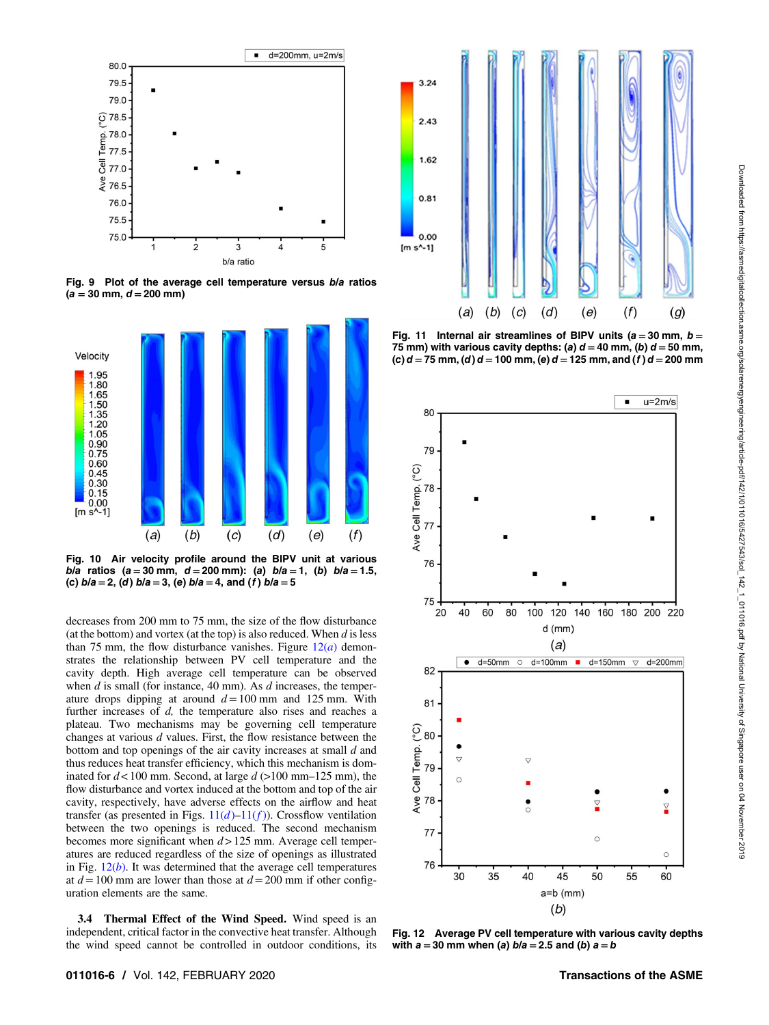<span id="page-5-0"></span>

Fig. 9 Plot of the average cell temperature versus b/a ratios  $(a = 30$  mm,  $d = 200$  mm)



b/a ratios (a = 30 mm, d = 200 mm): (a)  $b/a = 1$ , (b)  $b/a = 1.5$ , (c)  $b/a = 2$ , (d)  $b/a = 3$ , (e)  $b/a = 4$ , and (f)  $b/a = 5$ 

decreases from 200 mm to 75 mm, the size of the flow disturbance (at the bottom) and vortex (at the top) is also reduced. When  $d$  is less than 75 mm, the flow disturbance vanishes. Figure  $12(a)$  demonstrates the relationship between PV cell temperature and the cavity depth. High average cell temperature can be observed when  $d$  is small (for instance, 40 mm). As  $d$  increases, the temperature drops dipping at around  $d=100$  mm and 125 mm. With further increases of  $d$ , the temperature also rises and reaches a plateau. Two mechanisms may be governing cell temperature changes at various  $d$  values. First, the flow resistance between the bottom and top openings of the air cavity increases at small d and thus reduces heat transfer efficiency, which this mechanism is dominated for  $d < 100$  mm. Second, at large  $d > 100$  mm–125 mm), the flow disturbance and vortex induced at the bottom and top of the air cavity, respectively, have adverse effects on the airflow and heat transfer (as presented in Figs.  $11(d)-11(f)$ ). Crossflow ventilation between the two openings is reduced. The second mechanism becomes more significant when  $d > 125$  mm. Average cell temperatures are reduced regardless of the size of openings as illustrated in Fig.  $12(b)$ . It was determined that the average cell temperatures at  $d=100$  mm are lower than those at  $d=200$  mm if other configuration elements are the same.

3.4 Thermal Effect of the Wind Speed. Wind speed is an independent, critical factor in the convective heat transfer. Although the wind speed cannot be controlled in outdoor conditions, its



Fig. 11 Internal air streamlines of BIPV units ( $a = 30$  mm,  $b =$ 75 mm) with various cavity depths: (a)  $d = 40$  mm, (b)  $d = 50$  mm, (c)  $d = 75$  mm, (d)  $d = 100$  mm, (e)  $d = 125$  mm, and (f)  $d = 200$  mm



Fig. 12 Average PV cell temperature with various cavity depths with  $a = 30$  mm when (a)  $b/a = 2.5$  and (b)  $a = b$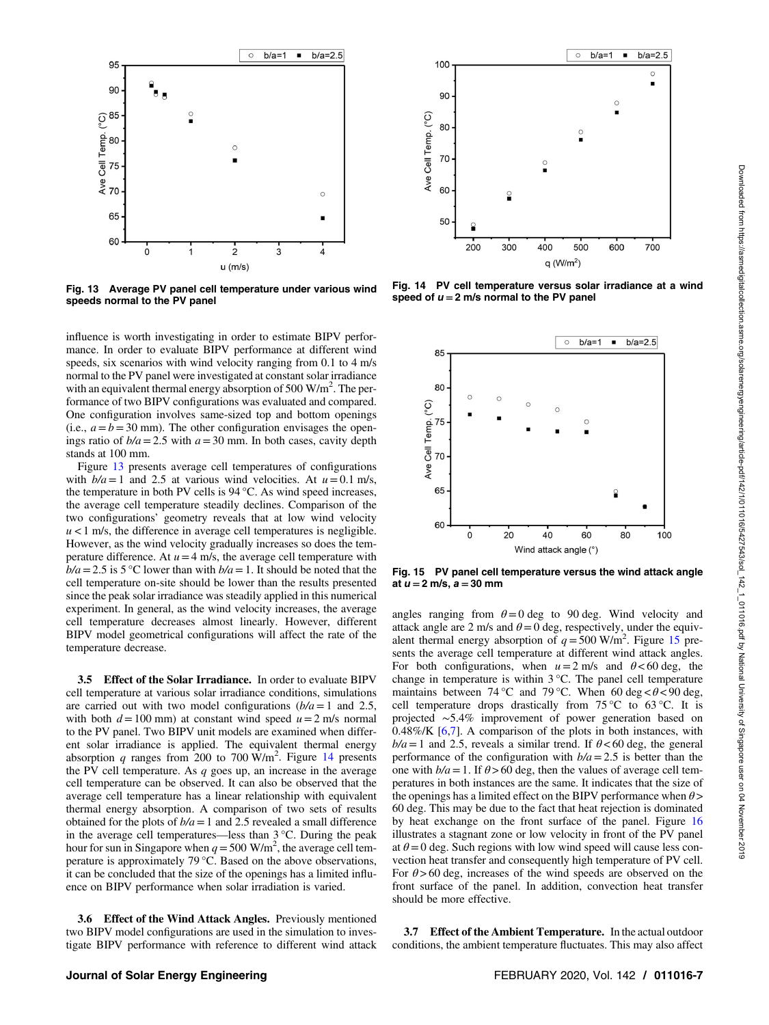

Fig. 13 Average PV panel cell temperature under various wind speeds normal to the PV panel

influence is worth investigating in order to estimate BIPV performance. In order to evaluate BIPV performance at different wind speeds, six scenarios with wind velocity ranging from 0.1 to 4 m/s normal to the PV panel were investigated at constant solar irradiance with an equivalent thermal energy absorption of 500  $\text{W/m}^2$ . The performance of two BIPV configurations was evaluated and compared. One configuration involves same-sized top and bottom openings (i.e.,  $a = b = 30$  mm). The other configuration envisages the openings ratio of  $b/a = 2.5$  with  $a = 30$  mm. In both cases, cavity depth stands at 100 mm.

Figure 13 presents average cell temperatures of configurations with  $b/a = 1$  and 2.5 at various wind velocities. At  $u = 0.1$  m/s, the temperature in both PV cells is 94 °C. As wind speed increases, the average cell temperature steadily declines. Comparison of the two configurations' geometry reveals that at low wind velocity  $u < 1$  m/s, the difference in average cell temperatures is negligible. However, as the wind velocity gradually increases so does the temperature difference. At  $u=4$  m/s, the average cell temperature with  $b/a = 2.5$  is 5 °C lower than with  $b/a = 1$ . It should be noted that the cell temperature on-site should be lower than the results presented since the peak solar irradiance was steadily applied in this numerical experiment. In general, as the wind velocity increases, the average cell temperature decreases almost linearly. However, different BIPV model geometrical configurations will affect the rate of the temperature decrease.

3.5 Effect of the Solar Irradiance. In order to evaluate BIPV cell temperature at various solar irradiance conditions, simulations are carried out with two model configurations  $(b/a = 1$  and 2.5, with both  $d=100$  mm) at constant wind speed  $u=2$  m/s normal to the PV panel. Two BIPV unit models are examined when different solar irradiance is applied. The equivalent thermal energy absorption q ranges from 200 to 700  $\text{W/m}^2$ . Figure 14 presents the PV cell temperature. As  $q$  goes up, an increase in the average cell temperature can be observed. It can also be observed that the average cell temperature has a linear relationship with equivalent thermal energy absorption. A comparison of two sets of results obtained for the plots of  $b/a = 1$  and 2.5 revealed a small difference in the average cell temperatures—less than 3 °C. During the peak hour for sun in Singapore when  $q = 500$  W/m<sup>2</sup>, the average cell temperature is approximately 79 °C. Based on the above observations, it can be concluded that the size of the openings has a limited influence on BIPV performance when solar irradiation is varied.

3.6 Effect of the Wind Attack Angles. Previously mentioned two BIPV model configurations are used in the simulation to investigate BIPV performance with reference to different wind attack



Fig. 14 PV cell temperature versus solar irradiance at a wind speed of  $u = 2$  m/s normal to the PV panel



Fig. 15 PV panel cell temperature versus the wind attack angle at  $u = 2$  m/s,  $a = 30$  mm

angles ranging from  $\theta = 0$  deg to 90 deg. Wind velocity and attack angle are 2 m/s and  $\theta = 0$  deg, respectively, under the equivalent thermal energy absorption of  $q = 500$  W/m<sup>2</sup>. Figure 15 presents the average cell temperature at different wind attack angles. For both configurations, when  $u=2$  m/s and  $\theta < 60$  deg, the change in temperature is within  $3^{\circ}$ C. The panel cell temperature maintains between 74 °C and 79 °C. When 60 deg  $< \theta < 90$  deg, cell temperature drops drastically from 75 °C to 63 °C. It is projected ∼5.4% improvement of power generation based on  $0.48\%$ /K  $[6,7]$  $[6,7]$  $[6,7]$ . A comparison of the plots in both instances, with  $b/a = 1$  and 2.5, reveals a similar trend. If  $\theta < 60$  deg, the general performance of the configuration with  $b/a = 2.5$  is better than the one with  $b/a = 1$ . If  $\theta > 60$  deg, then the values of average cell temperatures in both instances are the same. It indicates that the size of the openings has a limited effect on the BIPV performance when  $\theta$  > 60 deg. This may be due to the fact that heat rejection is dominated by heat exchange on the front surface of the panel. Figure [16](#page-7-0) illustrates a stagnant zone or low velocity in front of the PV panel at  $\theta = 0$  deg. Such regions with low wind speed will cause less convection heat transfer and consequently high temperature of PV cell. For  $\theta$  > 60 deg, increases of the wind speeds are observed on the front surface of the panel. In addition, convection heat transfer should be more effective.

3.7 Effect of the Ambient Temperature. In the actual outdoor conditions, the ambient temperature fluctuates. This may also affect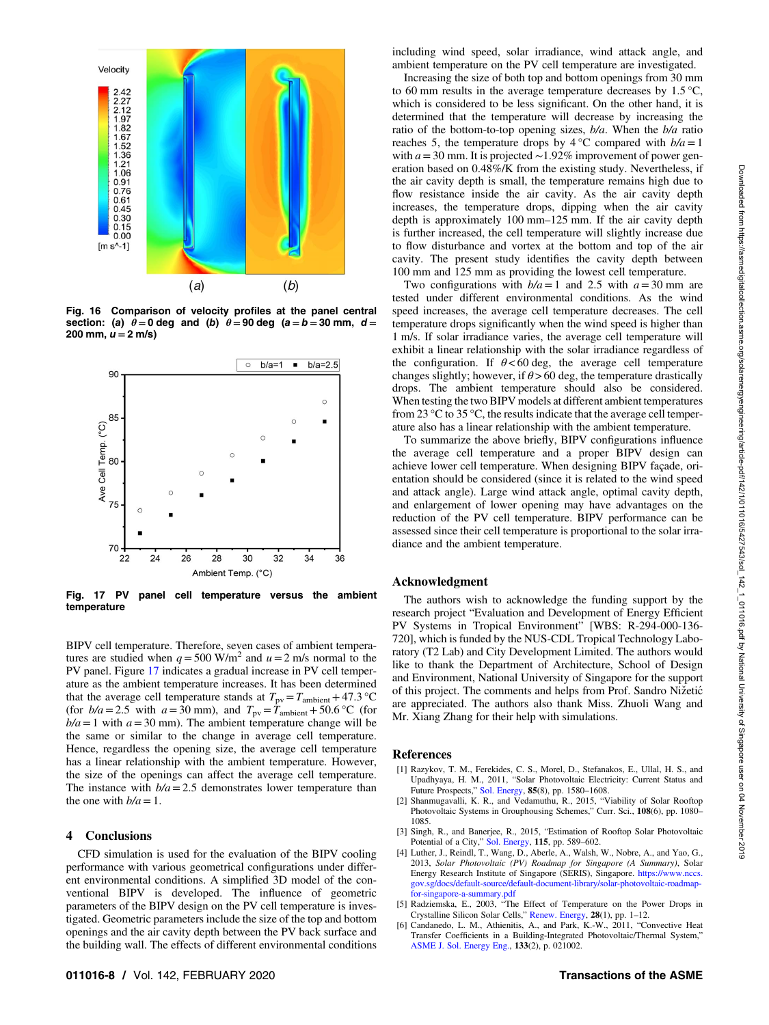<span id="page-7-0"></span>

Fig. 16 Comparison of velocity profiles at the panel central section: (a)  $\theta = 0$  deg and (b)  $\theta = 90$  deg (a = b = 30 mm, d = 200 mm,  $u = 2$  m/s)



Fig. 17 PV panel cell temperature versus the ambient temperature

BIPV cell temperature. Therefore, seven cases of ambient temperatures are studied when  $q = 500$  W/m<sup>2</sup> and  $u = 2$  m/s normal to the PV panel. Figure 17 indicates a gradual increase in PV cell temperature as the ambient temperature increases. It has been determined that the average cell temperature stands at  $T_{\text{pv}}=T_{\text{ambient}}+47.3 \text{ °C}$ (for  $b/a = 2.5$  with  $a = 30$  mm), and  $T_{\text{pv}} = T_{\text{ambient}} + 50.6$  °C (for  $b/a = 1$  with  $a = 30$  mm). The ambient temperature change will be the same or similar to the change in average cell temperature. Hence, regardless the opening size, the average cell temperature has a linear relationship with the ambient temperature. However, the size of the openings can affect the average cell temperature. The instance with  $b/a = 2.5$  demonstrates lower temperature than the one with  $b/a=1$ .

#### 4 Conclusions

CFD simulation is used for the evaluation of the BIPV cooling performance with various geometrical configurations under different environmental conditions. A simplified 3D model of the conventional BIPV is developed. The influence of geometric parameters of the BIPV design on the PV cell temperature is investigated. Geometric parameters include the size of the top and bottom openings and the air cavity depth between the PV back surface and the building wall. The effects of different environmental conditions

including wind speed, solar irradiance, wind attack angle, and ambient temperature on the PV cell temperature are investigated.

Increasing the size of both top and bottom openings from 30 mm to 60 mm results in the average temperature decreases by  $1.5\,^{\circ}\text{C}$ , which is considered to be less significant. On the other hand, it is determined that the temperature will decrease by increasing the ratio of the bottom-to-top opening sizes,  $b/a$ . When the  $b/a$  ratio reaches 5, the temperature drops by  $4^{\circ}$ C compared with  $b/a = 1$ with  $a=30$  mm. It is projected ~1.92% improvement of power generation based on 0.48%/K from the existing study. Nevertheless, if the air cavity depth is small, the temperature remains high due to flow resistance inside the air cavity. As the air cavity depth increases, the temperature drops, dipping when the air cavity depth is approximately 100 mm–125 mm. If the air cavity depth is further increased, the cell temperature will slightly increase due to flow disturbance and vortex at the bottom and top of the air cavity. The present study identifies the cavity depth between 100 mm and 125 mm as providing the lowest cell temperature.

Two configurations with  $b/a = 1$  and 2.5 with  $a = 30$  mm are tested under different environmental conditions. As the wind speed increases, the average cell temperature decreases. The cell temperature drops significantly when the wind speed is higher than 1 m/s. If solar irradiance varies, the average cell temperature will exhibit a linear relationship with the solar irradiance regardless of the configuration. If  $\theta < 60$  deg, the average cell temperature changes slightly; however, if  $\theta > 60$  deg, the temperature drastically drops. The ambient temperature should also be considered. When testing the two BIPV models at different ambient temperatures from 23  $\rm{°C}$  to 35  $\rm{°C}$ , the results indicate that the average cell temperature also has a linear relationship with the ambient temperature.

To summarize the above briefly, BIPV configurations influence the average cell temperature and a proper BIPV design can achieve lower cell temperature. When designing BIPV façade, orientation should be considered (since it is related to the wind speed and attack angle). Large wind attack angle, optimal cavity depth, and enlargement of lower opening may have advantages on the reduction of the PV cell temperature. BIPV performance can be assessed since their cell temperature is proportional to the solar irradiance and the ambient temperature.

### Acknowledgment

The authors wish to acknowledge the funding support by the research project "Evaluation and Development of Energy Efficient PV Systems in Tropical Environment" [WBS: R-294-000-136- 720], which is funded by the NUS-CDL Tropical Technology Laboratory (T2 Lab) and City Development Limited. The authors would like to thank the Department of Architecture, School of Design and Environment, National University of Singapore for the support of this project. The comments and helps from Prof. Sandro Nižetić are appreciated. The authors also thank Miss. Zhuoli Wang and Mr. Xiang Zhang for their help with simulations.

#### References

- [1] Razykov, T. M., Ferekides, C. S., Morel, D., Stefanakos, E., Ullal, H. S., and Upadhyaya, H. M., 2011, "Solar Photovoltaic Electricity: Current Status and<br>Future Prospects," [Sol. Energy,](http://dx.doi.org/10.1016/j.solener.2010.12.002) 85(8), pp. 1580–1608.
- [2] Shanmugavalli, K. R., and Vedamuthu, R., 2015, "Viability of Solar Rooftop Photovoltaic Systems in Grouphousing Schemes," Curr. Sci., 108(6), pp. 1080– 1085.
- [3] Singh, R., and Banerjee, R., 2015, "Estimation of Rooftop Solar Photovoltaic Potential of a City," [Sol. Energy,](https://dx.doi.org/10.1016/j.solener.2015.03.016) 115, pp. 589-602.
- [4] Luther, J., Reindl, T., Wang, D., Aberle, A., Walsh, W., Nobre, A., and Yao, G., 2013, Solar Photovoltaic (PV) Roadmap for Singapore (A Summary), Solar Energy Research Institute of Singapore (SERIS), Singapore. [https://www.nccs.](https://www.nccs.gov.sg/docs/default-source/default-document-library/solar-photovoltaic-roadmap-for-singapore-a-summary.pdf) [gov.sg/docs/default-source/default-document-library/solar-photovoltaic-roadmap](https://www.nccs.gov.sg/docs/default-source/default-document-library/solar-photovoltaic-roadmap-for-singapore-a-summary.pdf)[for-singapore-a-summary.pdf](https://www.nccs.gov.sg/docs/default-source/default-document-library/solar-photovoltaic-roadmap-for-singapore-a-summary.pdf)
- [5] Radziemska, E., 2003, "The Effect of Temperature on the Power Drops in Crystalline Silicon Solar Cells," [Renew. Energy](http://dx.doi.org/10.1016/S0960-1481(02)00015-0), 28(1), pp. 1–12.
- [6] Candanedo, L. M., Athienitis, A., and Park, K.-W., 2011, "Convective Heat Transfer Coefficients in a Building-Integrated Photovoltaic/Thermal System," [ASME J. Sol. Energy Eng.,](http://dx.doi.org/10.1115/1.4003145) 133(2), p. 021002.